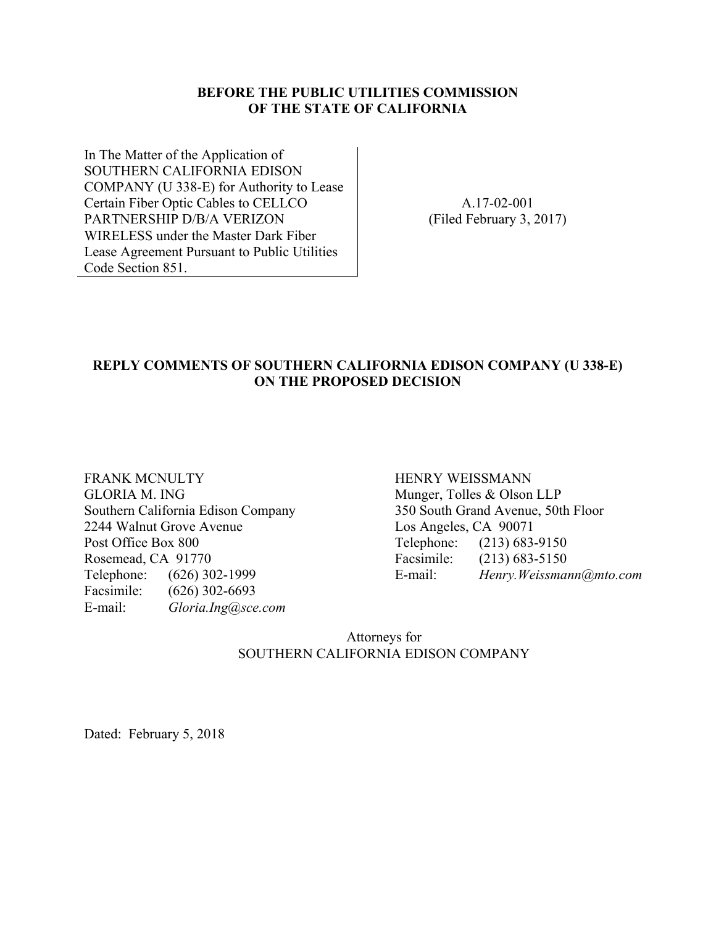#### **BEFORE THE PUBLIC UTILITIES COMMISSION OF THE STATE OF CALIFORNIA**

In The Matter of the Application of SOUTHERN CALIFORNIA EDISON COMPANY (U 338-E) for Authority to Lease Certain Fiber Optic Cables to CELLCO PARTNERSHIP D/B/A VERIZON WIRELESS under the Master Dark Fiber Lease Agreement Pursuant to Public Utilities Code Section 851.

A.17-02-001 (Filed February 3, 2017)

#### **REPLY COMMENTS OF SOUTHERN CALIFORNIA EDISON COMPANY (U 338-E) ON THE PROPOSED DECISION**

FRANK MCNULTY GLORIA M. ING Southern California Edison Company 2244 Walnut Grove Avenue Post Office Box 800 Rosemead, CA 91770 Telephone: (626) 302-1999 Facsimile: (626) 302-6693 E-mail: *Gloria.Ing@sce.com*

HENRY WEISSMANN Munger, Tolles & Olson LLP 350 South Grand Avenue, 50th Floor Los Angeles, CA 90071 Telephone: (213) 683-9150 Facsimile: (213) 683-5150 E-mail: *Henry.Weissmann@mto.com* 

Attorneys for SOUTHERN CALIFORNIA EDISON COMPANY

Dated: February 5, 2018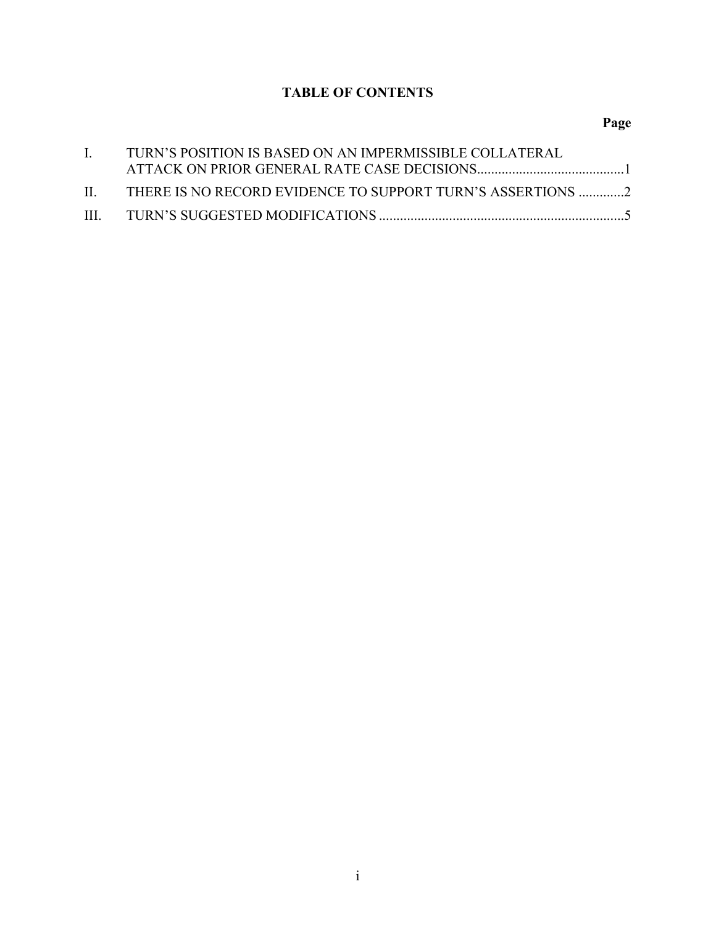# **TABLE OF CONTENTS**

## **Page**

| $\mathbf{I}$ | TURN'S POSITION IS BASED ON AN IMPERMISSIBLE COLLATERAL        |  |
|--------------|----------------------------------------------------------------|--|
|              |                                                                |  |
|              | II. THERE IS NO RECORD EVIDENCE TO SUPPORT TURN'S ASSERTIONS 2 |  |
|              |                                                                |  |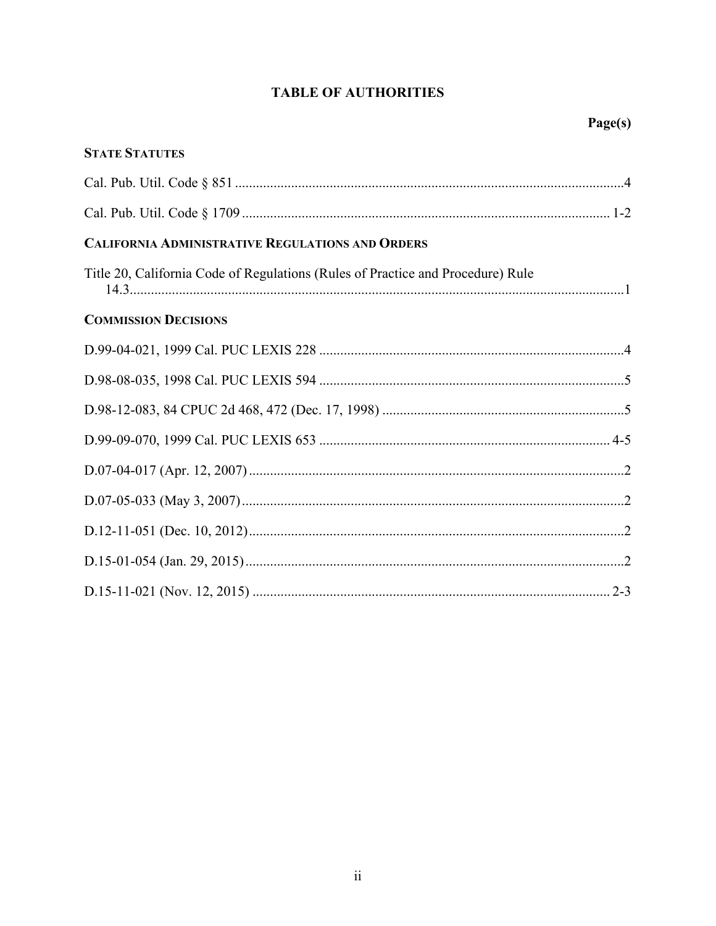# **TABLE OF AUTHORITIES**

| <b>STATE STATUTES</b>                                                           |  |
|---------------------------------------------------------------------------------|--|
|                                                                                 |  |
|                                                                                 |  |
| <b>CALIFORNIA ADMINISTRATIVE REGULATIONS AND ORDERS</b>                         |  |
| Title 20, California Code of Regulations (Rules of Practice and Procedure) Rule |  |
| <b>COMMISSION DECISIONS</b>                                                     |  |
|                                                                                 |  |
|                                                                                 |  |
|                                                                                 |  |
|                                                                                 |  |
|                                                                                 |  |
|                                                                                 |  |
|                                                                                 |  |
|                                                                                 |  |
|                                                                                 |  |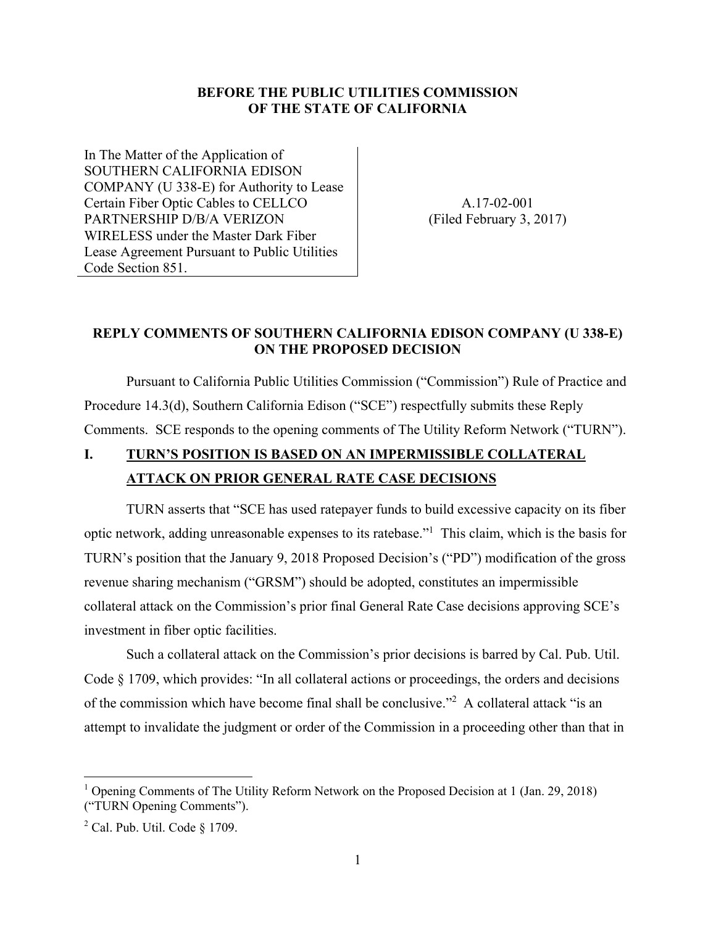#### **BEFORE THE PUBLIC UTILITIES COMMISSION OF THE STATE OF CALIFORNIA**

In The Matter of the Application of SOUTHERN CALIFORNIA EDISON COMPANY (U 338-E) for Authority to Lease Certain Fiber Optic Cables to CELLCO PARTNERSHIP D/B/A VERIZON WIRELESS under the Master Dark Fiber Lease Agreement Pursuant to Public Utilities Code Section 851.

A.17-02-001 (Filed February 3, 2017)

### **REPLY COMMENTS OF SOUTHERN CALIFORNIA EDISON COMPANY (U 338-E) ON THE PROPOSED DECISION**

Pursuant to California Public Utilities Commission ("Commission") Rule of Practice and Procedure 14.3(d), Southern California Edison ("SCE") respectfully submits these Reply Comments. SCE responds to the opening comments of The Utility Reform Network ("TURN").

# **I. TURN'S POSITION IS BASED ON AN IMPERMISSIBLE COLLATERAL ATTACK ON PRIOR GENERAL RATE CASE DECISIONS**

TURN asserts that "SCE has used ratepayer funds to build excessive capacity on its fiber optic network, adding unreasonable expenses to its ratebase."1 This claim, which is the basis for TURN's position that the January 9, 2018 Proposed Decision's ("PD") modification of the gross revenue sharing mechanism ("GRSM") should be adopted, constitutes an impermissible collateral attack on the Commission's prior final General Rate Case decisions approving SCE's investment in fiber optic facilities.

Such a collateral attack on the Commission's prior decisions is barred by Cal. Pub. Util. Code § 1709, which provides: "In all collateral actions or proceedings, the orders and decisions of the commission which have become final shall be conclusive."<sup>2</sup> A collateral attack "is an attempt to invalidate the judgment or order of the Commission in a proceeding other than that in

 $\overline{a}$ 

<sup>&</sup>lt;sup>1</sup> Opening Comments of The Utility Reform Network on the Proposed Decision at 1 (Jan. 29, 2018) ("TURN Opening Comments").

 $2$  Cal. Pub. Util. Code § 1709.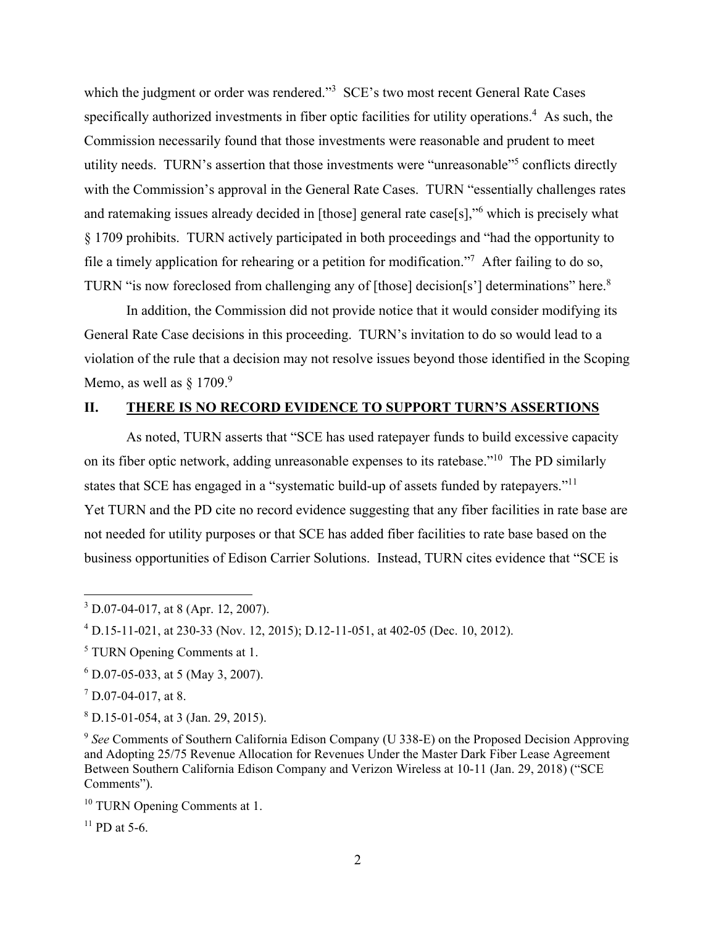which the judgment or order was rendered."<sup>3</sup> SCE's two most recent General Rate Cases specifically authorized investments in fiber optic facilities for utility operations.<sup>4</sup> As such, the Commission necessarily found that those investments were reasonable and prudent to meet utility needs. TURN's assertion that those investments were "unreasonable"5 conflicts directly with the Commission's approval in the General Rate Cases. TURN "essentially challenges rates" and ratemaking issues already decided in [those] general rate case[s],"<sup>6</sup> which is precisely what § 1709 prohibits. TURN actively participated in both proceedings and "had the opportunity to file a timely application for rehearing or a petition for modification."<sup>7</sup> After failing to do so, TURN "is now foreclosed from challenging any of [those] decision[s'] determinations" here.<sup>8</sup>

In addition, the Commission did not provide notice that it would consider modifying its General Rate Case decisions in this proceeding. TURN's invitation to do so would lead to a violation of the rule that a decision may not resolve issues beyond those identified in the Scoping Memo, as well as  $§$  1709.<sup>9</sup>

### **II. THERE IS NO RECORD EVIDENCE TO SUPPORT TURN'S ASSERTIONS**

As noted, TURN asserts that "SCE has used ratepayer funds to build excessive capacity on its fiber optic network, adding unreasonable expenses to its ratebase."10 The PD similarly states that SCE has engaged in a "systematic build-up of assets funded by ratepayers."11 Yet TURN and the PD cite no record evidence suggesting that any fiber facilities in rate base are not needed for utility purposes or that SCE has added fiber facilities to rate base based on the business opportunities of Edison Carrier Solutions. Instead, TURN cites evidence that "SCE is

 $\overline{a}$ 

 $^{11}$  PD at 5-6.

 $3$  D.07-04-017, at 8 (Apr. 12, 2007).

<sup>4</sup> D.15-11-021, at 230-33 (Nov. 12, 2015); D.12-11-051, at 402-05 (Dec. 10, 2012).

<sup>5</sup> TURN Opening Comments at 1.

<sup>6</sup> D.07-05-033, at 5 (May 3, 2007).

 $7$  D.07-04-017, at 8.

 $8$  D.15-01-054, at 3 (Jan. 29, 2015).

<sup>9</sup> *See* Comments of Southern California Edison Company (U 338-E) on the Proposed Decision Approving and Adopting 25/75 Revenue Allocation for Revenues Under the Master Dark Fiber Lease Agreement Between Southern California Edison Company and Verizon Wireless at 10-11 (Jan. 29, 2018) ("SCE Comments").

<sup>&</sup>lt;sup>10</sup> TURN Opening Comments at 1.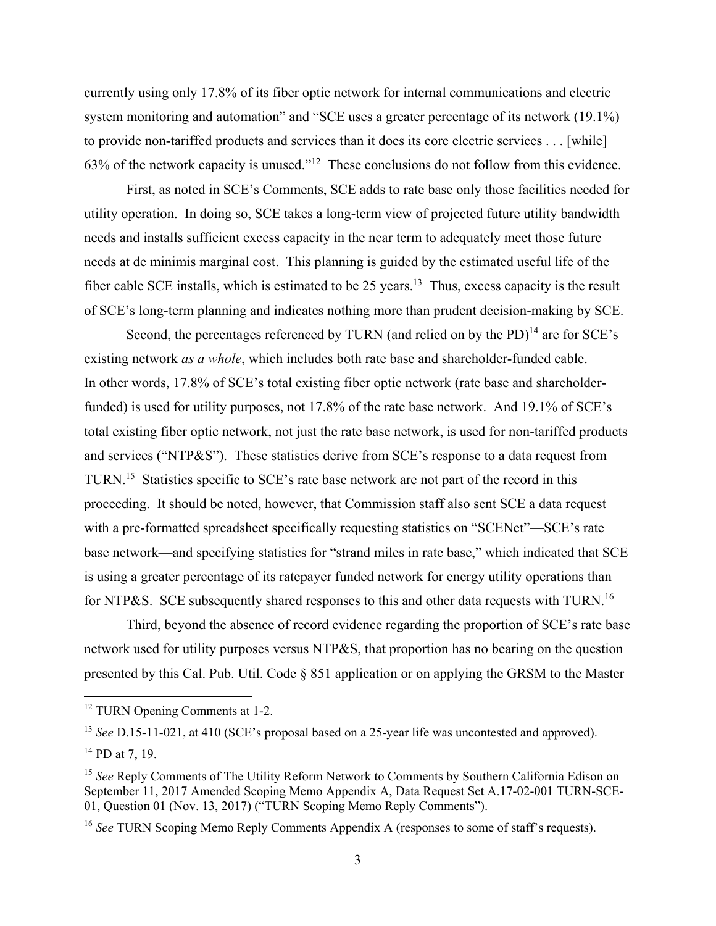currently using only 17.8% of its fiber optic network for internal communications and electric system monitoring and automation" and "SCE uses a greater percentage of its network (19.1%) to provide non-tariffed products and services than it does its core electric services . . . [while] 63% of the network capacity is unused."12 These conclusions do not follow from this evidence.

First, as noted in SCE's Comments, SCE adds to rate base only those facilities needed for utility operation. In doing so, SCE takes a long-term view of projected future utility bandwidth needs and installs sufficient excess capacity in the near term to adequately meet those future needs at de minimis marginal cost. This planning is guided by the estimated useful life of the fiber cable SCE installs, which is estimated to be 25 years.<sup>13</sup> Thus, excess capacity is the result of SCE's long-term planning and indicates nothing more than prudent decision-making by SCE.

Second, the percentages referenced by TURN (and relied on by the PD) $^{14}$  are for SCE's existing network *as a whole*, which includes both rate base and shareholder-funded cable. In other words, 17.8% of SCE's total existing fiber optic network (rate base and shareholderfunded) is used for utility purposes, not 17.8% of the rate base network. And 19.1% of SCE's total existing fiber optic network, not just the rate base network, is used for non-tariffed products and services ("NTP&S"). These statistics derive from SCE's response to a data request from TURN.15 Statistics specific to SCE's rate base network are not part of the record in this proceeding. It should be noted, however, that Commission staff also sent SCE a data request with a pre-formatted spreadsheet specifically requesting statistics on "SCENet"—SCE's rate base network—and specifying statistics for "strand miles in rate base," which indicated that SCE is using a greater percentage of its ratepayer funded network for energy utility operations than for NTP&S. SCE subsequently shared responses to this and other data requests with TURN.<sup>16</sup>

Third, beyond the absence of record evidence regarding the proportion of SCE's rate base network used for utility purposes versus NTP&S, that proportion has no bearing on the question presented by this Cal. Pub. Util. Code § 851 application or on applying the GRSM to the Master

1

<sup>&</sup>lt;sup>12</sup> TURN Opening Comments at 1-2.

<sup>&</sup>lt;sup>13</sup> *See* D.15-11-021, at 410 (SCE's proposal based on a 25-year life was uncontested and approved).

 $14$  PD at 7, 19.

<sup>&</sup>lt;sup>15</sup> See Reply Comments of The Utility Reform Network to Comments by Southern California Edison on September 11, 2017 Amended Scoping Memo Appendix A, Data Request Set A.17-02-001 TURN-SCE-01, Question 01 (Nov. 13, 2017) ("TURN Scoping Memo Reply Comments").

<sup>&</sup>lt;sup>16</sup> *See* TURN Scoping Memo Reply Comments Appendix A (responses to some of staff's requests).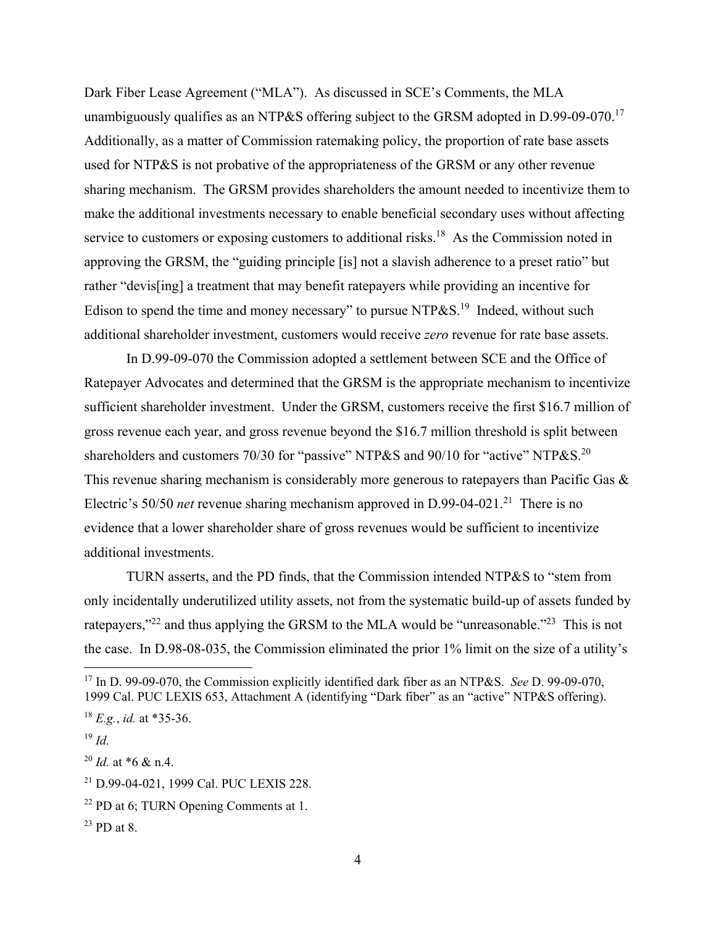Dark Fiber Lease Agreement ("MLA"). As discussed in SCE's Comments, the MLA unambiguously qualifies as an NTP&S offering subject to the GRSM adopted in D.99-09-070.<sup>17</sup> Additionally, as a matter of Commission ratemaking policy, the proportion of rate base assets used for NTP&S is not probative of the appropriateness of the GRSM or any other revenue sharing mechanism. The GRSM provides shareholders the amount needed to incentivize them to make the additional investments necessary to enable beneficial secondary uses without affecting service to customers or exposing customers to additional risks.<sup>18</sup> As the Commission noted in approving the GRSM, the "guiding principle [is] not a slavish adherence to a preset ratio" but rather "devis[ing] a treatment that may benefit ratepayers while providing an incentive for Edison to spend the time and money necessary" to pursue NTP&S.<sup>19</sup> Indeed, without such additional shareholder investment, customers would receive *zero* revenue for rate base assets.

In D.99-09-070 the Commission adopted a settlement between SCE and the Office of Ratepayer Advocates and determined that the GRSM is the appropriate mechanism to incentivize sufficient shareholder investment. Under the GRSM, customers receive the first \$16.7 million of gross revenue each year, and gross revenue beyond the \$16.7 million threshold is split between shareholders and customers 70/30 for "passive" NTP&S and 90/10 for "active" NTP&S.<sup>20</sup> This revenue sharing mechanism is considerably more generous to ratepayers than Pacific Gas & Electric's 50/50 *net* revenue sharing mechanism approved in D.99-04-021.<sup>21</sup> There is no evidence that a lower shareholder share of gross revenues would be sufficient to incentivize additional investments.

TURN asserts, and the PD finds, that the Commission intended NTP&S to "stem from only incidentally underutilized utility assets, not from the systematic build-up of assets funded by ratepayers,"<sup>22</sup> and thus applying the GRSM to the MLA would be "unreasonable."<sup>23</sup> This is not the case. In D.98-08-035, the Commission eliminated the prior 1% limit on the size of a utility's

 $\overline{a}$ 

<sup>17</sup> In D. 99-09-070, the Commission explicitly identified dark fiber as an NTP&S. *See* D. 99-09-070, 1999 Cal. PUC LEXIS 653, Attachment A (identifying "Dark fiber" as an "active" NTP&S offering).

 $^{18}$  *E.g., id.* at \*35-36.

<sup>19</sup> *Id.*

 $^{20}$  *Id.* at \*6 & n.4.

<sup>21</sup> D.99-04-021, 1999 Cal. PUC LEXIS 228.

<sup>22</sup> PD at 6; TURN Opening Comments at 1.

 $^{23}$  PD at 8.